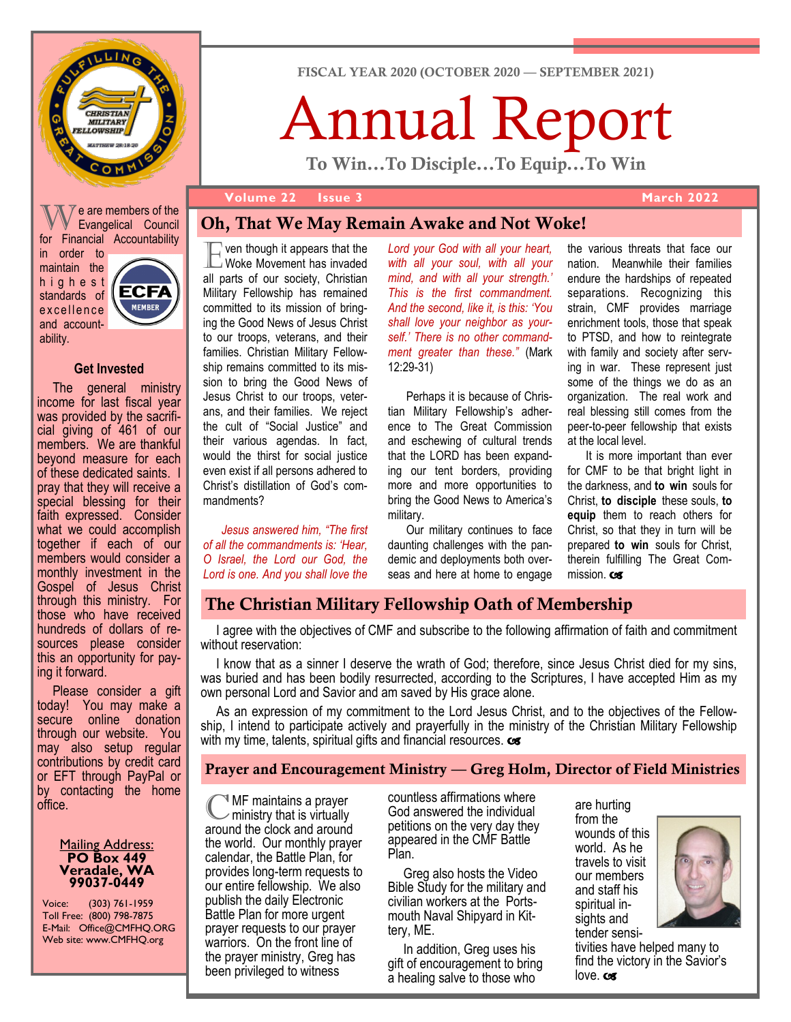

 $\sqrt{V}$ e are members of the Evangelical Council for Financial Accountability in order to maintain the h i g h e s t standards of **MEMBER** excellence and accountability.

#### **Get Invested**

The general ministry income for last fiscal year was provided by the sacrificial giving of 461 of our members. We are thankful beyond measure for each of these dedicated saints. I pray that they will receive a special blessing for their faith expressed. Consider what we could accomplish together if each of our members would consider a monthly investment in the Gospel of Jesus Christ through this ministry. For those who have received hundreds of dollars of resources please consider this an opportunity for paying it forward.

Please consider a gift today! You may make a secure online donation through our website. You may also setup regular contributions by credit card or EFT through PayPal or by contacting the home office.

#### **Mailing Address: PO Box 449 Veradale, WA 99037-0449**

Voice: (303) 761-1959 Toll Free: (800) 798-7875 E-Mail: Office@CMFHQ.ORG Web site: www.CMFHQ.org

FISCAL YEAR 2020 (OCTOBER 2020 — SEPTEMBER 2021)

# Annual Report

To Win...To Disciple...To Equip...To Win

#### **Volume 22 Issue 3 March 2022**

# Oh, That We May Remain Awake and Not Woke!

**Example 1**<br>E Woke Movement has invaded ven though it appears that the all parts of our society, Christian Military Fellowship has remained committed to its mission of bringing the Good News of Jesus Christ to our troops, veterans, and their families. Christian Military Fellowship remains committed to its mission to bring the Good News of Jesus Christ to our troops, veterans, and their families. We reject the cult of "Social Justice" and their various agendas. In fact, would the thirst for social justice even exist if all persons adhered to Christ's distillation of God's commandments?

*Jesus answered him, "The first of all the commandments is: 'Hear, O Israel, the Lord our God, the Lord is one. And you shall love the* 

*Lord your God with all your heart, with all your soul, with all your mind, and with all your strength.' This is the first commandment. And the second, like it, is this: 'You shall love your neighbor as yourself.' There is no other commandment greater than these."* (Mark 12:29-31)

Perhaps it is because of Christian Military Fellowship's adherence to The Great Commission and eschewing of cultural trends that the LORD has been expanding our tent borders, providing more and more opportunities to bring the Good News to America's military.

Our military continues to face daunting challenges with the pandemic and deployments both overseas and here at home to engage the various threats that face our nation. Meanwhile their families endure the hardships of repeated separations. Recognizing this strain, CMF provides marriage enrichment tools, those that speak to PTSD, and how to reintegrate with family and society after serving in war. These represent just some of the things we do as an organization. The real work and real blessing still comes from the peer-to-peer fellowship that exists at the local level.

It is more important than ever for CMF to be that bright light in the darkness, and **to win** souls for Christ, **to disciple** these souls, **to equip** them to reach others for Christ, so that they in turn will be prepared **to win** souls for Christ, therein fulfilling The Great Commission. Cos

# The Christian Military Fellowship Oath of Membership

I agree with the objectives of CMF and subscribe to the following affirmation of faith and commitment without reservation:

I know that as a sinner I deserve the wrath of God; therefore, since Jesus Christ died for my sins, was buried and has been bodily resurrected, according to the Scriptures, I have accepted Him as my own personal Lord and Savior and am saved by His grace alone.

As an expression of my commitment to the Lord Jesus Christ, and to the objectives of the Fellowship, I intend to participate actively and prayerfully in the ministry of the Christian Military Fellowship with my time, talents, spiritual gifts and financial resources.  $\infty$ 

# Prayer and Encouragement Ministry — Greg Holm, Director of Field Ministries

**C**MF maintains a prayer<br>ministry that is virtually<br>around the clock and around MF maintains a prayer ministry that is virtually the world. Our monthly prayer calendar, the Battle Plan, for provides long-term requests to our entire fellowship. We also publish the daily Electronic Battle Plan for more urgent prayer requests to our prayer warriors. On the front line of the prayer ministry, Greg has been privileged to witness

countless affirmations where God answered the individual petitions on the very day they appeared in the CMF Battle Plan.

Greg also hosts the Video Bible Study for the military and civilian workers at the Portsmouth Naval Shipyard in Kittery, ME.

In addition, Greg uses his gift of encouragement to bring a healing salve to those who

are hurting from the wounds of this world. As he travels to visit our members and staff his spiritual insights and tender sensi-



tivities have helped many to find the victory in the Savior's love.com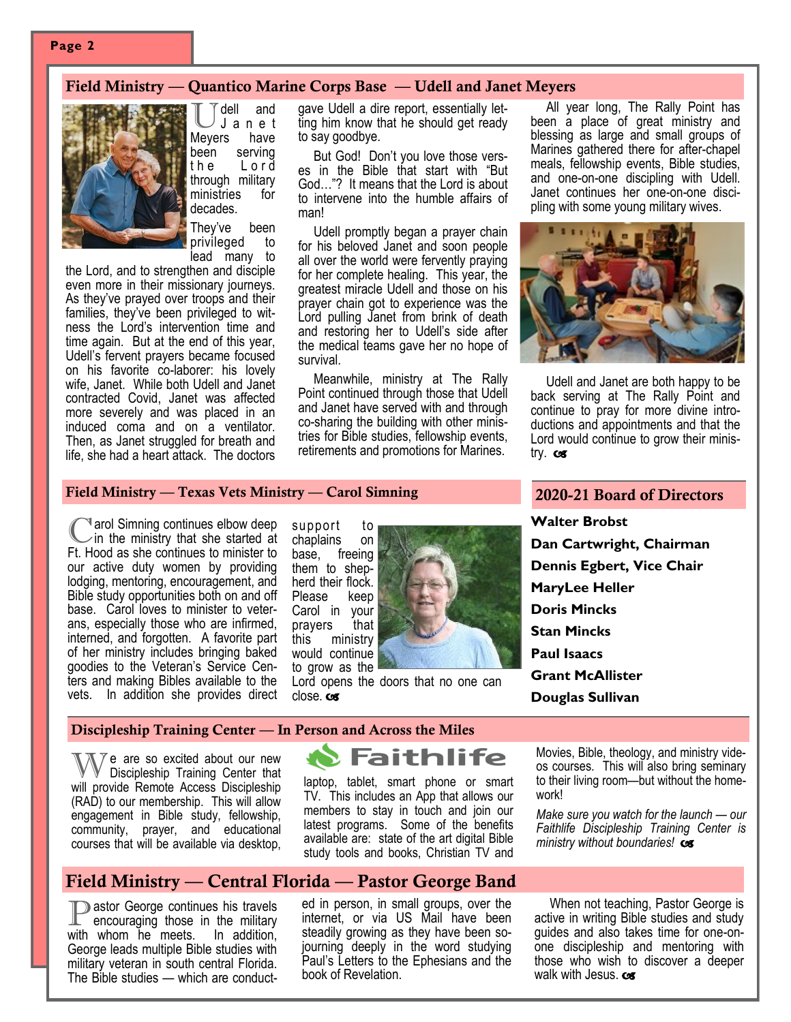## Field Ministry — Quantico Marine Corps Base — Udell and Janet Meyers



dell and<br>Janet<br>rs have J a n e t Meyers been serving the Lord through military ministries for decades. They've been

privileged to lead many to

the Lord, and to strengthen and disciple even more in their missionary journeys. As they've prayed over troops and their families, they've been privileged to witness the Lord's intervention time and time again. But at the end of this year, Udell's fervent prayers became focused on his favorite co-laborer: his lovely wife, Janet. While both Udell and Janet contracted Covid, Janet was affected more severely and was placed in an induced coma and on a ventilator. Then, as Janet struggled for breath and life, she had a heart attack. The doctors

gave Udell a dire report, essentially letting him know that he should get ready to say goodbye.

But God! Don't you love those verses in the Bible that start with "But God…"? It means that the Lord is about to intervene into the humble affairs of man!

Udell promptly began a prayer chain for his beloved Janet and soon people all over the world were fervently praying for her complete healing. This year, the greatest miracle Udell and those on his prayer chain got to experience was the Lord pulling Janet from brink of death and restoring her to Udell's side after the medical teams gave her no hope of survival.

Meanwhile, ministry at The Rally Point continued through those that Udell and Janet have served with and through co-sharing the building with other ministries for Bible studies, fellowship events, retirements and promotions for Marines.

All year long, The Rally Point has been a place of great ministry and blessing as large and small groups of Marines gathered there for after-chapel meals, fellowship events, Bible studies, and one-on-one discipling with Udell. Janet continues her one-on-one discipling with some young military wives.



Udell and Janet are both happy to be back serving at The Rally Point and continue to pray for more divine introductions and appointments and that the Lord would continue to grow their ministry.  $c\mathbf{s}$ 

#### Field Ministry — Texas Vets Ministry — Carol Simning

Carol Simning continues elbow deep<br>Ft. Hood as she continues to minister to arol Simning continues elbow deep in the ministry that she started at our active duty women by providing lodging, mentoring, encouragement, and Bible study opportunities both on and off base. Carol loves to minister to veterans, especially those who are infirmed, interned, and forgotten. A favorite part of her ministry includes bringing baked goodies to the Veteran's Service Centers and making Bibles available to the vets. In addition she provides direct

support to chaplains on base, freeing them to shepherd their flock. Please keep Carol in your prayers that this ministry would continue to grow as the



Lord opens the doors that no one can close.com

#### 2020-21 Board of Directors

**Walter Brobst Dan Cartwright, Chairman Dennis Egbert, Vice Chair MaryLee Heller Doris Mincks Stan Mincks Paul Isaacs Grant McAllister Douglas Sullivan**

#### Discipleship Training Center — In Person and Across the Miles

We are so excited about our new Discipleship Training Center that will provide Remote Access Discipleship (RAD) to our membership. This will allow engagement in Bible study, fellowship, community, prayer, and educational courses that will be available via desktop,



laptop, tablet, smart phone or smart TV. This includes an App that allows our members to stay in touch and join our latest programs. Some of the benefits available are: state of the art digital Bible study tools and books, Christian TV and Movies, Bible, theology, and ministry videos courses. This will also bring seminary to their living room—but without the homework!

*Make sure you watch for the launch — our Faithlife Discipleship Training Center is ministry without boundaries!* 

#### Field Ministry — Central Florida — Pastor George Band

**P** astor George continues his travels<br>encouraging those in the military encouraging those in the military<br>whom he meets. In addition, with whom he meets. George leads multiple Bible studies with military veteran in south central Florida. The Bible studies — which are conduct-

ed in person, in small groups, over the internet, or via US Mail have been steadily growing as they have been sojourning deeply in the word studying Paul's Letters to the Ephesians and the book of Revelation.

When not teaching, Pastor George is active in writing Bible studies and study guides and also takes time for one-onone discipleship and mentoring with those who wish to discover a deeper walk with Jesus.  $\cos$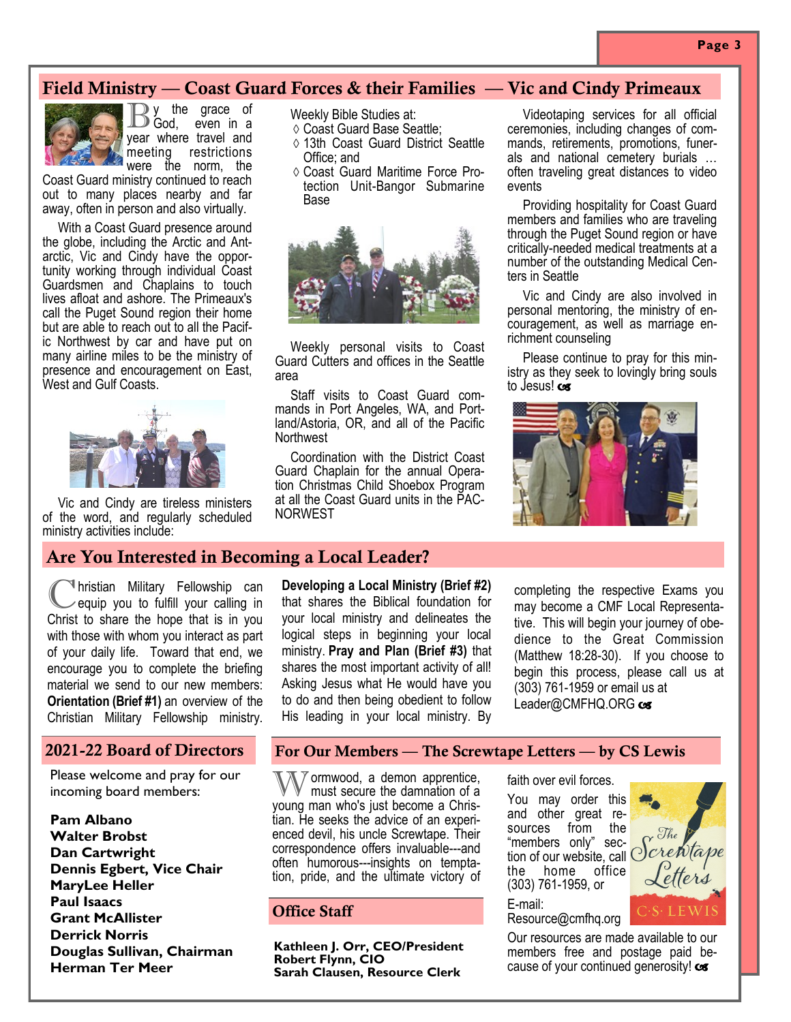# Field Ministry — Coast Guard Forces & their Families — Vic and Cindy Primeaux



By the grace of<br>B God, even in a God, even in a year where travel and meeting restrictions were the norm, the

Coast Guard ministry continued to reach out to many places nearby and far away, often in person and also virtually.

With a Coast Guard presence around the globe, including the Arctic and Antarctic, Vic and Cindy have the opportunity working through individual Coast Guardsmen and Chaplains to touch lives afloat and ashore. The Primeaux's call the Puget Sound region their home but are able to reach out to all the Pacific Northwest by car and have put on many airline miles to be the ministry of presence and encouragement on East, West and Gulf Coasts.



Vic and Cindy are tireless ministers of the word, and regularly scheduled ministry activities include:

Weekly Bible Studies at:

- Coast Guard Base Seattle;
- 13th Coast Guard District Seattle Office; and
- Coast Guard Maritime Force Protection Unit-Bangor Submarine Base



Weekly personal visits to Coast Guard Cutters and offices in the Seattle area

Staff visits to Coast Guard commands in Port Angeles, WA, and Portland/Astoria, OR, and all of the Pacific **Northwest** 

Coordination with the District Coast Guard Chaplain for the annual Operation Christmas Child Shoebox Program at all the Coast Guard units in the PAC-NORWEST

Videotaping services for all official ceremonies, including changes of commands, retirements, promotions, funerals and national cemetery burials … often traveling great distances to video events

Providing hospitality for Coast Guard members and families who are traveling through the Puget Sound region or have critically-needed medical treatments at a number of the outstanding Medical Centers in Seattle

Vic and Cindy are also involved in personal mentoring, the ministry of encouragement, as well as marriage enrichment counseling

Please continue to pray for this ministry as they seek to lovingly bring souls to Jesus! cos



# Are You Interested in Becoming a Local Leader?

C hristian Military Fellowship can equip you to fulfill your calling in Christ to share the hope that is in you with those with whom you interact as part of your daily life. Toward that end, we encourage you to complete the briefing material we send to our new members: **Orientation (Brief #1)** an overview of the Christian Military Fellowship ministry.

#### 2021-22 Board of Directors

Please welcome and pray for our incoming board members:

**Pam Albano Walter Brobst Dan Cartwright Dennis Egbert, Vice Chair MaryLee Heller Paul Isaacs Grant McAllister Derrick Norris Douglas Sullivan, Chairman Herman Ter Meer**

**Developing a Local Ministry (Brief #2)**  that shares the Biblical foundation for your local ministry and delineates the logical steps in beginning your local ministry. **Pray and Plan (Brief #3)** that shares the most important activity of all! Asking Jesus what He would have you to do and then being obedient to follow His leading in your local ministry. By

completing the respective Exams you may become a CMF Local Representative. This will begin your journey of obedience to the Great Commission (Matthew 18:28-30). If you choose to begin this process, please call us at (303) 761-1959 or email us at Leader@CMFHQ.ORG cs

#### For Our Members — The Screwtape Letters — by CS Lewis

Wormwood, a demon apprentice, must secure the damnation of a young man who's just become a Christian. He seeks the advice of an experienced devil, his uncle Screwtape. Their correspondence offers invaluable---and often humorous---insights on temptation, pride, and the ultimate victory of

# Office Staff

**Kathleen J. Orr, CEO/President Robert Flynn, CIO Sarah Clausen, Resource Clerk**

faith over evil forces.

You may order this and other great resources from the "members only" section of our website, call  $\bigcirc^{C}$ the home office (303) 761-1959, or

E-mail: Resource@cmfhq.org

Our resources are made available to our members free and postage paid because of your continued generosity!  $\cos$